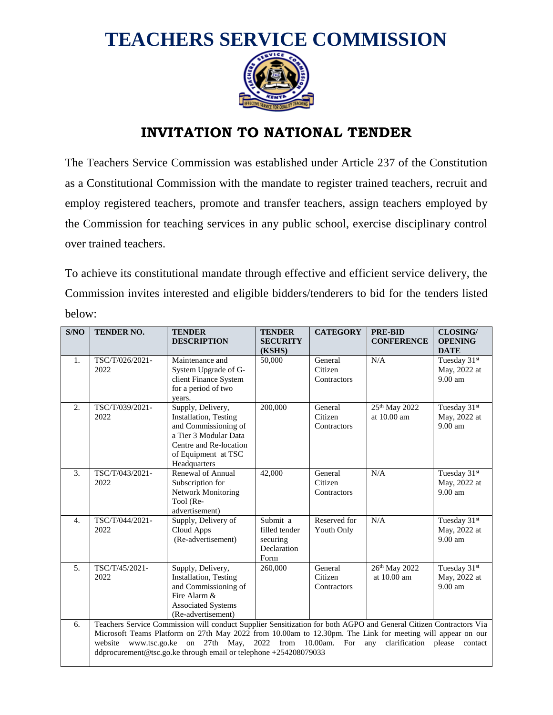

## **INVITATION TO NATIONAL TENDER**

The Teachers Service Commission was established under Article 237 of the Constitution as a Constitutional Commission with the mandate to register trained teachers, recruit and employ registered teachers, promote and transfer teachers, assign teachers employed by the Commission for teaching services in any public school, exercise disciplinary control over trained teachers.

To achieve its constitutional mandate through effective and efficient service delivery, the Commission invites interested and eligible bidders/tenderers to bid for the tenders listed below:

| S/NO             | TENDER NO.                                                                                                                                                                                                                                                                                                                                                                                                             | <b>TENDER</b><br><b>DESCRIPTION</b>                                                                                                                                  | <b>TENDER</b><br><b>SECURITY</b><br>(KSHS)                   | <b>CATEGORY</b>                   | <b>PRE-BID</b><br><b>CONFERENCE</b>        | <b>CLOSING/</b><br><b>OPENING</b><br><b>DATE</b> |
|------------------|------------------------------------------------------------------------------------------------------------------------------------------------------------------------------------------------------------------------------------------------------------------------------------------------------------------------------------------------------------------------------------------------------------------------|----------------------------------------------------------------------------------------------------------------------------------------------------------------------|--------------------------------------------------------------|-----------------------------------|--------------------------------------------|--------------------------------------------------|
| 1.               | TSC/T/026/2021-<br>2022                                                                                                                                                                                                                                                                                                                                                                                                | Maintenance and<br>System Upgrade of G-<br>client Finance System<br>for a period of two<br>years.                                                                    | 50,000                                                       | General<br>Citizen<br>Contractors | N/A                                        | Tuesday 31st<br>May, 2022 at<br>$9.00$ am        |
| 2.               | TSC/T/039/2021-<br>2022                                                                                                                                                                                                                                                                                                                                                                                                | Supply, Delivery,<br><b>Installation</b> , Testing<br>and Commissioning of<br>a Tier 3 Modular Data<br>Centre and Re-location<br>of Equipment at TSC<br>Headquarters | 200,000                                                      | General<br>Citizen<br>Contractors | 25 <sup>th</sup> May 2022<br>at $10.00$ am | Tuesday 31st<br>May, 2022 at<br>9.00 am          |
| 3.               | TSC/T/043/2021-<br>2022                                                                                                                                                                                                                                                                                                                                                                                                | Renewal of Annual<br>Subscription for<br>Network Monitoring<br>Tool (Re-<br>advertisement)                                                                           | 42,000                                                       | General<br>Citizen<br>Contractors | N/A                                        | Tuesday 31st<br>May, 2022 at<br>$9.00$ am        |
| $\overline{4}$ . | TSC/T/044/2021-<br>2022                                                                                                                                                                                                                                                                                                                                                                                                | Supply, Delivery of<br>Cloud Apps<br>(Re-advertisement)                                                                                                              | Submit a<br>filled tender<br>securing<br>Declaration<br>Form | Reserved for<br>Youth Only        | N/A                                        | Tuesday 31st<br>May, 2022 at<br>9.00 am          |
| 5.               | TSC/T/45/2021-<br>2022                                                                                                                                                                                                                                                                                                                                                                                                 | Supply, Delivery,<br><b>Installation</b> , Testing<br>and Commissioning of<br>Fire Alarm &<br><b>Associated Systems</b><br>(Re-advertisement)                        | 260,000                                                      | General<br>Citizen<br>Contractors | 26th May 2022<br>at 10.00 am               | Tuesday 31st<br>May, 2022 at<br>$9.00$ am        |
| 6.               | Teachers Service Commission will conduct Supplier Sensitization for both AGPO and General Citizen Contractors Via<br>Microsoft Teams Platform on 27th May 2022 from 10.00am to 12.30pm. The Link for meeting will appear on our<br>website<br>www.tsc.go.ke<br>on 27th May, 2022 from 10.00am.<br>For<br>any<br>clarification<br>please<br>contact<br>ddprocurement@tsc.go.ke through email or telephone +254208079033 |                                                                                                                                                                      |                                                              |                                   |                                            |                                                  |